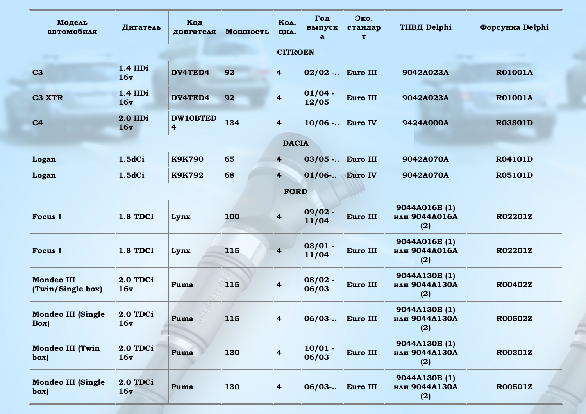| Модель<br>автомобиля                   | Дигатель                     | Код<br>двигателя           | Мощность | Koa.<br>ЦИЛ.            | Год<br>выпуск<br>a | Эко.<br>стандар<br>T | <b>THBA Delphi</b>                           | Форсунка Delphi |  |
|----------------------------------------|------------------------------|----------------------------|----------|-------------------------|--------------------|----------------------|----------------------------------------------|-----------------|--|
| <b>TERRITORY</b>                       |                              |                            |          | <b>CITROEN</b>          |                    |                      |                                              |                 |  |
| C3                                     | <b>1.4 HDi</b><br><b>16v</b> | DV4TED4                    | 92       | $\overline{4}$          | 02/02              | Euro III             | 9042A023A                                    | <b>R01001A</b>  |  |
| <b>C3 XTR</b>                          | <b>1.4 HDi</b><br><b>16v</b> | DV4TED4                    | 92       | $\overline{\mathbf{4}}$ | $01/04 -$<br>12/05 | Euro III             | 9042A023A                                    | <b>R01001A</b>  |  |
| C <sub>4</sub>                         | <b>2.0 HDi</b><br><b>16v</b> | DW10BTED<br>$\overline{4}$ | 134      | $\overline{4}$          | 10/06              | <b>Euro IV</b>       | 9424A000A                                    | <b>R03801D</b>  |  |
|                                        |                              |                            |          | <b>DACIA</b>            |                    |                      |                                              |                 |  |
| Logan                                  | 1.5dCi                       | <b>K9K790</b>              | 65       | $\overline{\mathbf{r}}$ | 03/05              | Euro III             | 9042A070A                                    | <b>R04101D</b>  |  |
| Logan                                  | 1.5dCi                       | <b>K9K792</b>              | 68       | $\overline{4}$          | 01/06              | <b>Euro IV</b>       | 9042A070A                                    | <b>R05101D</b>  |  |
| <b>FORD</b>                            |                              |                            |          |                         |                    |                      |                                              |                 |  |
| <b>Focus I</b>                         | 1.8 TDCi                     | Lynx                       | 100      | $\overline{\mathbf{r}}$ | $09/02 -$<br>11/04 | Euro III             | 9044A016B (1)<br><b>ИЛИ 9044A016A</b><br>(2) | R02201Z         |  |
| <b>Focus I</b>                         | 1.8 TDCi                     | Lynx                       | 115      | $\overline{4}$          | $03/01 -$<br>11/04 | Euro III             | 9044A016B (1)<br><b>ИЛИ 9044A016A</b><br>(2) | R02201Z         |  |
| <b>Mondeo III</b><br>(Twin/Single box) | 2.0 TDCi<br>16v              | Puma                       | 115      | $\overline{\mathbf{r}}$ | $08/02 -$<br>06/03 | Euro III             | 9044A130B (1)<br><b>ИЛИ 9044A130A</b><br>(2) | <b>R00402Z</b>  |  |
| <b>Mondeo III (Single</b><br>Box)      | 2.0 TDCi<br>16v              | Puma                       | 115      | 4                       | 06/03- Euro III    |                      | 9044A130B (1)<br><b>ИЛИ 9044A130A</b><br>(2) | <b>R00502Z</b>  |  |
| <b>Mondeo III (Twin</b><br>box)        | 2.0 TDCi<br>16v              | Puma                       | 130      | $\overline{\mathbf{4}}$ | $10/01 -$<br>06/03 | Euro III             | 9044A130B (1)<br><b>ИЛИ 9044A130A</b><br>(2) | R00301Z         |  |
| <b>Mondeo III (Single</b><br>box)      | 2.0 TDCi<br>16v              | Puma                       | 130      | $\overline{4}$          | 06/03              | Euro III             | 9044A130B (1)<br><b>ИЛИ 9044A130A</b><br>(2) | R00501Z         |  |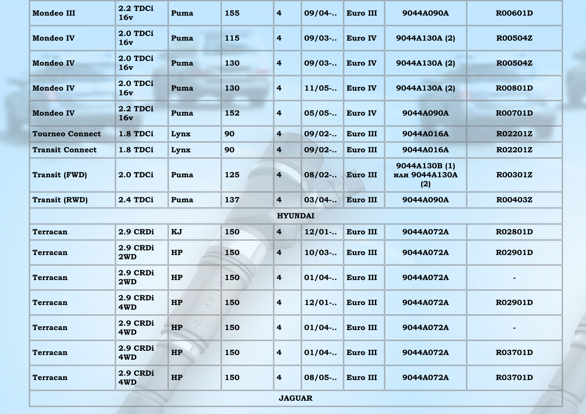| <b>Mondeo III</b>      | 2.2 TDCi<br>16v | Puma      | 155 | $\overline{4}$          | 09/04 | Euro III       | 9044A090A                                    | <b>R00601D</b> |  |  |
|------------------------|-----------------|-----------|-----|-------------------------|-------|----------------|----------------------------------------------|----------------|--|--|
| <b>Mondeo IV</b>       | 2.0 TDCi<br>16v | Puma      | 115 | $\overline{4}$          | 09/03 | <b>Euro IV</b> | 9044A130A (2)                                | <b>R00504Z</b> |  |  |
| <b>Mondeo IV</b>       | 2.0 TDCi<br>16v | Puma      | 130 | $\overline{\mathbf{r}}$ | 09/03 | <b>Euro IV</b> | 9044A130A (2)                                | <b>R00504Z</b> |  |  |
| <b>Mondeo IV</b>       | 2.0 TDCi<br>16v | Puma      | 130 | $\overline{4}$          | 11/05 | <b>Euro IV</b> | 9044A130A (2)                                | <b>R00801D</b> |  |  |
| <b>Mondeo IV</b>       | 2.2 TDCi<br>16v | Puma      | 152 | $\overline{\mathbf{r}}$ | 05/05 | <b>Euro IV</b> | 9044A090A                                    | <b>R00701D</b> |  |  |
| <b>Tourneo Connect</b> | 1.8 TDCi        | Lynx      | 90  | $\overline{4}$          | 09/02 | Euro III       | 9044A016A                                    | <b>R02201Z</b> |  |  |
| <b>Transit Connect</b> | 1.8 TDCi        | Lynx      | 90  | $\overline{\mathbf{r}}$ | 09/02 | Euro III       | 9044A016A                                    | R02201Z        |  |  |
| <b>Transit (FWD)</b>   | 2.0 TDCi        | Puma      | 125 | $\overline{4}$          | 08/02 | Euro III       | 9044A130B (1)<br><b>ИЛИ 9044A130A</b><br>(2) | R00301Z        |  |  |
| <b>Transit (RWD)</b>   | 2.4 TDCi        | Puma      | 137 | $\overline{4}$          | 03/04 | Euro III       | 9044A090A                                    | <b>R00403Z</b> |  |  |
|                        |                 |           |     | <b>HYUNDAI</b>          |       |                |                                              |                |  |  |
| <b>Terracan</b>        | 2.9 CRDi        | KJ        | 150 | $\overline{4}$          | 12/01 | Euro III       | 9044A072A                                    | <b>R02801D</b> |  |  |
| <b>Terracan</b>        | 2.9 CRDi<br>2WD | HP        | 150 | $\overline{4}$          | 10/03 | Euro III       | 9044A072A                                    | <b>R02901D</b> |  |  |
| <b>Terracan</b>        | 2.9 CRDi<br>2WD | HP        | 150 | $\overline{\mathbf{r}}$ | 01/04 | Euro III       | 9044A072A                                    |                |  |  |
| <b>Terracan</b>        | 2.9 CRDi<br>4WD | <b>HP</b> | 150 | 4                       | 12/01 | Euro III       | 9044A072A                                    | <b>R02901D</b> |  |  |
| <b>Terracan</b>        | 2.9 CRDi<br>4WD | <b>HP</b> | 150 | $\overline{4}$          | 01/04 | Euro III       | 9044A072A                                    |                |  |  |
| <b>Terracan</b>        | 2.9 CRDi<br>4WD | <b>HP</b> | 150 | $\overline{\mathbf{r}}$ | 01/04 | Euro III       | 9044A072A                                    | <b>R03701D</b> |  |  |
| <b>Terracan</b>        | 2.9 CRDi<br>4WD | HP        | 150 | $\overline{\mathbf{r}}$ | 08/05 | Euro III       | 9044A072A                                    | <b>R03701D</b> |  |  |
| <b>JAGUAR</b>          |                 |           |     |                         |       |                |                                              |                |  |  |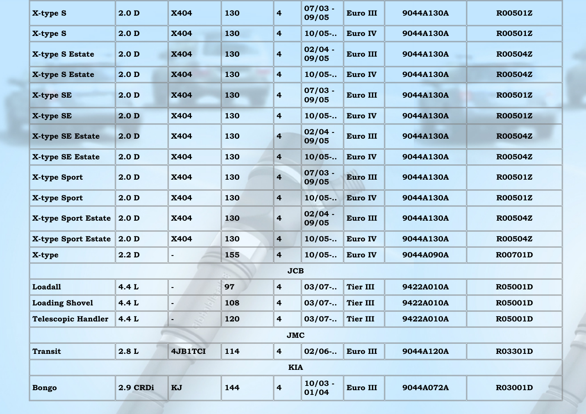| X-type S                          | 2.0 <sub>D</sub> | <b>X404</b>    | 130 | $\overline{\mathbf{4}}$ | $07/03 -$<br>09/05 | Euro III        | 9044A130A | <b>R00501Z</b> |  |  |  |
|-----------------------------------|------------------|----------------|-----|-------------------------|--------------------|-----------------|-----------|----------------|--|--|--|
| X-type S                          | 2.0 <sub>D</sub> | <b>X404</b>    | 130 | $\overline{4}$          | 10/05              | <b>Euro IV</b>  | 9044A130A | <b>R00501Z</b> |  |  |  |
| <b>X-type S Estate</b>            | 2.0 <sub>D</sub> | <b>X404</b>    | 130 | $\overline{4}$          | $02/04 -$<br>09/05 | Euro III        | 9044A130A | <b>R00504Z</b> |  |  |  |
| <b>X-type S Estate</b>            | 2.0 <sub>D</sub> | <b>X404</b>    | 130 | $\overline{4}$          | 10/05              | <b>Euro IV</b>  | 9044A130A | <b>R00504Z</b> |  |  |  |
| X-type SE                         | 2.0 <sub>D</sub> | <b>X404</b>    | 130 | $\overline{4}$          | $07/03 -$<br>09/05 | Euro III        | 9044A130A | <b>R00501Z</b> |  |  |  |
| X-type SE                         | 2.0 <sub>D</sub> | <b>X404</b>    | 130 | $\overline{4}$          | 10/05              | <b>Euro IV</b>  | 9044A130A | <b>R00501Z</b> |  |  |  |
| <b>X-type SE Estate</b>           | 2.0 <sub>D</sub> | <b>X404</b>    | 130 | $\overline{\mathbf{r}}$ | $02/04 -$<br>09/05 | Euro III        | 9044A130A | <b>R00504Z</b> |  |  |  |
| X-type SE Estate                  | 2.0 <sub>D</sub> | <b>X404</b>    | 130 | $\overline{4}$          | 10/05              | Euro IV         | 9044A130A | <b>R00504Z</b> |  |  |  |
| X-type Sport                      | 2.0 <sub>D</sub> | <b>X404</b>    | 130 | $\overline{4}$          | $07/03 -$<br>09/05 | <b>Euro III</b> | 9044A130A | <b>R00501Z</b> |  |  |  |
| X-type Sport                      | 2.0 D            | <b>X404</b>    | 130 | $\overline{4}$          | 10/05              | <b>Euro IV</b>  | 9044A130A | <b>R00501Z</b> |  |  |  |
| <b>X-type Sport Estate</b>        | 2.0 <sub>D</sub> | <b>X404</b>    | 130 | $\overline{\mathbf{r}}$ | $02/04 -$<br>09/05 | Euro III        | 9044A130A | <b>R00504Z</b> |  |  |  |
| X-type Sport Estate $\vert$ 2.0 D |                  | <b>X404</b>    | 130 | $\overline{4}$          | 10/05              | <b>Euro IV</b>  | 9044A130A | <b>R00504Z</b> |  |  |  |
| X-type                            | 2.2 D            | $\blacksquare$ | 155 | $\overline{4}$          | 10/05              | <b>Euro IV</b>  | 9044A090A | <b>R00701D</b> |  |  |  |
|                                   |                  |                |     | <b>JCB</b>              |                    |                 |           |                |  |  |  |
| <b>Loadall</b>                    | 4.4 L            | $\blacksquare$ | 97  | $\overline{\mathbf{r}}$ | 03/07              | <b>Tier III</b> | 9422A010A | <b>R05001D</b> |  |  |  |
| <b>Loading Shovel</b>             | 4.4 L            | ۰              | 108 | $\overline{\mathbf{r}}$ | 03/07              | <b>Tier III</b> | 9422A010A | <b>R05001D</b> |  |  |  |
| <b>Telescopic Handler</b>         | 4.4 L            |                | 120 | $\overline{\mathbf{4}}$ | 03/07              | <b>Tier III</b> | 9422A010A | <b>R05001D</b> |  |  |  |
| <b>JMC</b>                        |                  |                |     |                         |                    |                 |           |                |  |  |  |
| <b>Transit</b>                    | 2.8L             | 4JB1TCI        | 114 | $\overline{\mathbf{r}}$ | 02/06              | Euro III        | 9044A120A | <b>R03301D</b> |  |  |  |
|                                   |                  |                |     | <b>KIA</b>              |                    |                 |           |                |  |  |  |
| <b>Bongo</b>                      | 2.9 CRDi         | KJ             | 144 | $\overline{\mathbf{r}}$ | $10/03 -$<br>01/04 | Euro III        | 9044A072A | <b>R03001D</b> |  |  |  |

A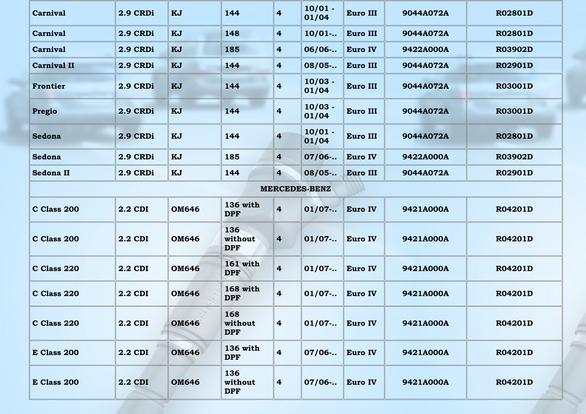| <b>Carnival</b>      | 2.9 CRDi       | KJ           | 144                           | $\overline{\mathbf{r}}$ | $10/01 -$<br>01/04 | Euro III        | 9044A072A | <b>R02801D</b> |  |  |  |  |
|----------------------|----------------|--------------|-------------------------------|-------------------------|--------------------|-----------------|-----------|----------------|--|--|--|--|
| Carnival             | 2.9 CRDi       | KJ           | 148                           | $\overline{4}$          | 10/01              | Euro III        | 9044A072A | <b>R02801D</b> |  |  |  |  |
| <b>Carnival</b>      | 2.9 CRDi       | KJ           | 185                           | $\overline{\mathbf{4}}$ | 06/06              | <b>Euro IV</b>  | 9422A000A | <b>R03902D</b> |  |  |  |  |
| <b>Carnival II</b>   | 2.9 CRDi       | KJ           | 144                           | $\overline{\mathbf{4}}$ | 08/05              | <b>Euro III</b> | 9044A072A | <b>R02901D</b> |  |  |  |  |
| <b>Frontier</b>      | 2.9 CRDi       | KJ           | 144                           | $\overline{\mathbf{r}}$ | $10/03 -$<br>01/04 | Euro III        | 9044A072A | <b>R03001D</b> |  |  |  |  |
| Pregio               | 2.9 CRDi       | KJ           | 144                           | $\overline{\mathbf{r}}$ | $10/03 -$<br>01/04 | Euro III        | 9044A072A | <b>R03001D</b> |  |  |  |  |
| Sedona               | 2.9 CRDi       | KJ           | 144                           | $\overline{\mathbf{r}}$ | $10/01 -$<br>01/04 | Euro III        | 9044A072A | <b>R02801D</b> |  |  |  |  |
| Sedona               | 2.9 CRDi       | KJ           | 185                           | $\overline{4}$          | 07/06              | <b>Euro IV</b>  | 9422A000A | <b>R03902D</b> |  |  |  |  |
| <b>Sedona II</b>     | 2.9 CRDi       | KJ           | 144                           | $\overline{4}$          | 08/05              | <b>Euro III</b> | 9044A072A | <b>R02901D</b> |  |  |  |  |
| <b>MERCEDES-BENZ</b> |                |              |                               |                         |                    |                 |           |                |  |  |  |  |
| C Class 200          | <b>2.2 CDI</b> | <b>OM646</b> | <b>136 with</b><br><b>DPF</b> | $\overline{\mathbf{r}}$ | 01/07              | <b>Euro IV</b>  | 9421A000A | <b>R04201D</b> |  |  |  |  |
| C Class 200          | <b>2.2 CDI</b> | <b>OM646</b> | 136<br>without<br><b>DPF</b>  | $\overline{\mathbf{r}}$ | 01/07              | <b>Euro IV</b>  | 9421A000A | <b>R04201D</b> |  |  |  |  |
| C Class 220          | <b>2.2 CDI</b> | <b>OM646</b> | 161 with<br><b>DPF</b>        | $\overline{\mathbf{4}}$ | 01/07              | <b>Euro IV</b>  | 9421A000A | <b>R04201D</b> |  |  |  |  |
| C Class 220          | <b>2.2 CDI</b> | <b>OM646</b> | <b>168 with</b><br><b>DPF</b> | $\overline{\mathbf{r}}$ | 01/07              | <b>Euro IV</b>  | 9421A000A | <b>R04201D</b> |  |  |  |  |
| C Class 220          | <b>2.2 CDI</b> | <b>OM646</b> | 168<br>without<br><b>DPF</b>  | 4                       | 01/07              | Euro IV         | 9421A000A | <b>R04201D</b> |  |  |  |  |
| E Class 200          | <b>2.2 CDI</b> | <b>OM646</b> | <b>136 with</b><br><b>DPF</b> | $\overline{\mathbf{r}}$ | 07/06              | Euro IV         | 9421A000A | <b>R04201D</b> |  |  |  |  |
| E Class 200          | <b>2.2 CDI</b> | <b>OM646</b> | 136<br>without<br><b>DPF</b>  | 4                       | 07/06              | Euro IV         | 9421A000A | <b>R04201D</b> |  |  |  |  |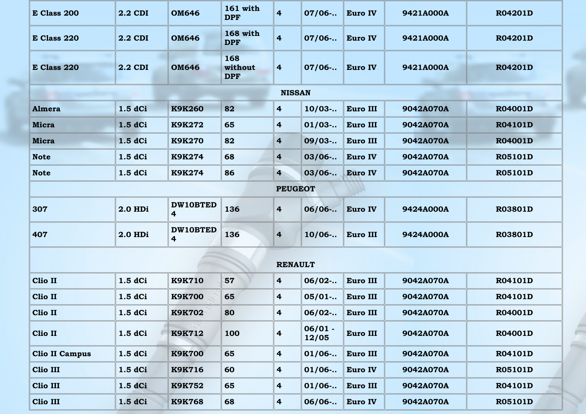| E Class 200                  | <b>2.2 CDI</b> | <b>OM646</b>  | 161 with<br><b>DPF</b>       | $\overline{4}$          | 07/06              | Euro IV        | 9421A000A | <b>R04201D</b> |  |  |  |  |
|------------------------------|----------------|---------------|------------------------------|-------------------------|--------------------|----------------|-----------|----------------|--|--|--|--|
| E Class 220                  | <b>2.2 CDI</b> | <b>OM646</b>  | 168 with<br><b>DPF</b>       | $\overline{4}$          | 07/06              | <b>Euro IV</b> | 9421A000A | <b>R04201D</b> |  |  |  |  |
| <b>SEPTED</b><br>E Class 220 | <b>2.2 CDI</b> | <b>OM646</b>  | 168<br>without<br><b>DPF</b> | 4                       | 07/06              | Euro IV        | 9421A000A | <b>R04201D</b> |  |  |  |  |
|                              |                |               |                              | <b>NISSAN</b>           |                    |                |           |                |  |  |  |  |
| <b>Almera</b>                | $1.5$ dCi      | <b>K9K260</b> | 82                           | 4                       | 10/03              | Euro III       | 9042A070A | <b>R04001D</b> |  |  |  |  |
| <b>Micra</b>                 | 1.5 dCi        | <b>K9K272</b> | 65                           | 4                       | 01/03              | Euro III       | 9042A070A | <b>R04101D</b> |  |  |  |  |
| <b>Micra</b>                 | 1.5 dCi        | <b>K9K270</b> | 82                           | $\overline{4}$          | 09/03              | Euro III       | 9042A070A | <b>R04001D</b> |  |  |  |  |
| <b>Note</b>                  | 1.5 dCi        | <b>K9K274</b> | 68                           | $\overline{4}$          | 03/06              | Euro IV        | 9042A070A | <b>R05101D</b> |  |  |  |  |
| <b>Note</b>                  | 1.5 dCi        | <b>K9K274</b> | 86                           | 4                       | 03/06              | <b>Euro IV</b> | 9042A070A | <b>R05101D</b> |  |  |  |  |
| <b>PEUGEOT</b>               |                |               |                              |                         |                    |                |           |                |  |  |  |  |
| 307                          | 2.0 HDi        | DW10BTED<br>4 | 136                          | $\overline{\mathbf{4}}$ | 06/06              | <b>Euro IV</b> | 9424A000A | <b>R03801D</b> |  |  |  |  |
| 407                          | <b>2.0 HDi</b> | DW10BTED<br>4 | 136                          | 4                       | 10/06              | Euro III       | 9424A000A | <b>R03801D</b> |  |  |  |  |
|                              |                |               |                              |                         | <b>RENAULT</b>     |                |           |                |  |  |  |  |
| Clio II                      | $1.5$ dCi      | <b>K9K710</b> | 57                           | $\overline{\mathbf{r}}$ | 06/02              | Euro III       | 9042A070A | <b>R04101D</b> |  |  |  |  |
| Clio II                      | $1.5$ dCi      | <b>K9K700</b> | 65                           | 4                       | 05/01              | Euro III       | 9042A070A | <b>R04101D</b> |  |  |  |  |
| Clio II                      | $1.5$ dCi      | <b>K9K702</b> | 80                           | 4                       | 06/02- Euro III    |                | 9042A070A | <b>R04001D</b> |  |  |  |  |
| Clio II                      | 1.5 dCi        | <b>K9K712</b> | 100                          | $\overline{4}$          | $06/01 -$<br>12/05 | Euro III       | 9042A070A | <b>R04001D</b> |  |  |  |  |
| <b>Clio II Campus</b>        | $1.5$ dCi      | <b>K9K700</b> | 65                           | $\overline{4}$          | 01/06              | Euro III       | 9042A070A | <b>R04101D</b> |  |  |  |  |
| Clio III                     | 1.5 dCi        | <b>K9K716</b> | 60                           | $\overline{4}$          | 01/06              | Euro IV        | 9042A070A | <b>R05101D</b> |  |  |  |  |
| Clio III                     | 1.5 dCi        | <b>K9K752</b> | 65                           | $\overline{4}$          | 01/06              | Euro III       | 9042A070A | <b>R04101D</b> |  |  |  |  |
| Clio III                     | 1.5 dCi        | <b>K9K768</b> | 68                           | $\overline{4}$          | 06/06              | Euro IV        | 9042A070A | <b>R05101D</b> |  |  |  |  |

 $\frac{1}{2}$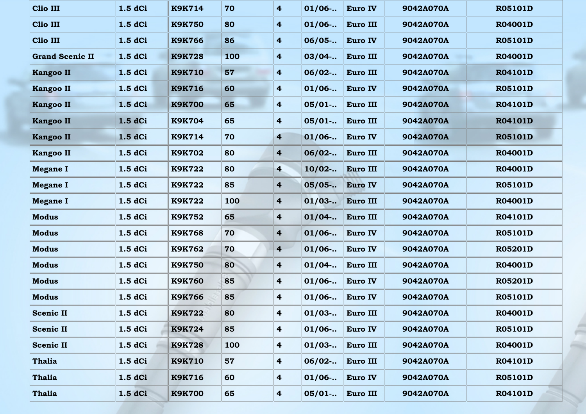| <b>Clio III</b>        | 1.5 dCi   | <b>K9K714</b> | 70  | $\overline{4}$          | 01/06           | <b>Euro IV</b>  | 9042A070A | <b>R05101D</b> |
|------------------------|-----------|---------------|-----|-------------------------|-----------------|-----------------|-----------|----------------|
| <b>Clio III</b>        | 1.5 dCi   | <b>K9K750</b> | 80  | $\overline{\mathbf{4}}$ | 01/06           | Euro III        | 9042A070A | <b>R04001D</b> |
| <b>Clio III</b>        | 1.5 dCi   | <b>K9K766</b> | 86  | $\overline{\mathbf{4}}$ | 06/05           | <b>Euro IV</b>  | 9042A070A | <b>R05101D</b> |
| <b>Grand Scenic II</b> | 1.5 dCi   | <b>K9K728</b> | 100 | $\overline{4}$          | 03/04           | <b>Euro III</b> | 9042A070A | <b>R04001D</b> |
| <b>Kangoo II</b>       | 1.5 dCi   | <b>K9K710</b> | 57  | $\overline{4}$          | 06/02           | Euro III        | 9042A070A | <b>R04101D</b> |
| <b>Kangoo II</b>       | 1.5 dCi   | <b>K9K716</b> | 60  | $\overline{4}$          | 01/06           | <b>Euro IV</b>  | 9042A070A | <b>R05101D</b> |
| <b>Kangoo II</b>       | 1.5 dCi   | <b>K9K700</b> | 65  | $\overline{4}$          | 05/01           | Euro III        | 9042A070A | <b>R04101D</b> |
| <b>Kangoo II</b>       | 1.5 dCi   | <b>K9K704</b> | 65  | $\overline{\mathbf{4}}$ | 05/01           | Euro III        | 9042A070A | <b>R04101D</b> |
| <b>Kangoo II</b>       | 1.5 dCi   | <b>K9K714</b> | 70  | $\overline{\mathbf{4}}$ | 01/06           | <b>Euro IV</b>  | 9042A070A | <b>R05101D</b> |
| <b>Kangoo II</b>       | 1.5 dCi   | <b>K9K702</b> | 80  | $\overline{\mathbf{4}}$ | 06/02           | Euro III        | 9042A070A | <b>R04001D</b> |
| <b>Megane I</b>        | 1.5 dCi   | <b>K9K722</b> | 80  | $\overline{4}$          | 10/02           | <b>Euro III</b> | 9042A070A | <b>R04001D</b> |
| <b>Megane I</b>        | 1.5 dCi   | <b>K9K722</b> | 85  | $\overline{4}$          | 05/05           | <b>Euro IV</b>  | 9042A070A | <b>R05101D</b> |
| <b>Megane I</b>        | 1.5 dCi   | <b>K9K722</b> | 100 | 4                       | 01/03           | <b>Euro III</b> | 9042A070A | <b>R04001D</b> |
| <b>Modus</b>           | 1.5 dCi   | <b>K9K752</b> | 65  | $\overline{4}$          | 01/04           | <b>Euro III</b> | 9042A070A | <b>R04101D</b> |
| <b>Modus</b>           | 1.5 dCi   | <b>K9K768</b> | 70  | $\overline{\mathbf{4}}$ | 01/06           | <b>Euro IV</b>  | 9042A070A | <b>R05101D</b> |
| <b>Modus</b>           | 1.5 dCi   | <b>K9K762</b> | 70  | $\overline{4}$          | 01/06           | Euro IV         | 9042A070A | <b>R05201D</b> |
| <b>Modus</b>           | 1.5 dCi   | <b>K9K750</b> | 80  | $\overline{4}$          | 01/04           | Euro III        | 9042A070A | <b>R04001D</b> |
| <b>Modus</b>           | 1.5 dCi   | <b>K9K760</b> | 85  | $\overline{\mathbf{r}}$ | 01/06           | <b>Euro IV</b>  | 9042A070A | <b>R05201D</b> |
| <b>Modus</b>           | 1.5 dCi   | <b>K9K766</b> | 85  | $\overline{4}$          | 01/06           | <b>Euro IV</b>  | 9042A070A | <b>R05101D</b> |
| <b>Scenic II</b>       | 1.5 dCi   | <b>K9K722</b> | 80  | 4                       | 01/03- Euro III |                 | 9042A070A | <b>R04001D</b> |
| <b>Scenic II</b>       | 1.5 dCi   | <b>K9K724</b> | 85  | $\overline{4}$          | 01/06           | Euro IV         | 9042A070A | <b>R05101D</b> |
| <b>Scenic II</b>       | $1.5$ dCi | <b>K9K728</b> | 100 | 4                       | 01/03           | Euro III        | 9042A070A | <b>R04001D</b> |
| <b>Thalia</b>          | 1.5 dCi   | <b>K9K710</b> | 57  | $\overline{\mathbf{4}}$ | 06/02           | Euro III        | 9042A070A | <b>R04101D</b> |
| <b>Thalia</b>          | 1.5 dCi   | <b>K9K716</b> | 60  | $\overline{4}$          | 01/06           | Euro IV         | 9042A070A | <b>R05101D</b> |
| <b>Thalia</b>          | 1.5 dCi   | <b>K9K700</b> | 65  | $\overline{\mathbf{4}}$ | 05/01           | Euro III        | 9042A070A | <b>R04101D</b> |

Á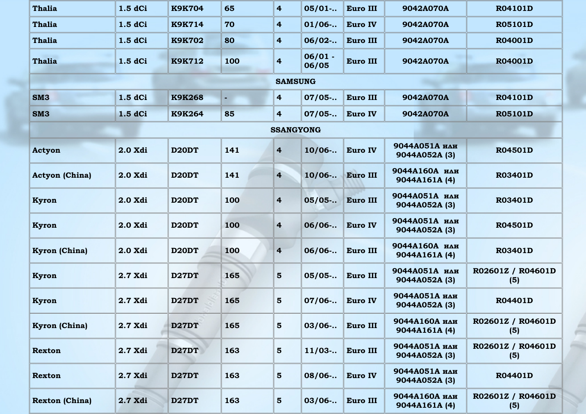| <b>Thalia</b>         | 1.5 dCi | <b>K9K704</b>      | 65  | 4                       | 05/01              | <b>Euro III</b> | 9042A070A                      | <b>R04101D</b>           |
|-----------------------|---------|--------------------|-----|-------------------------|--------------------|-----------------|--------------------------------|--------------------------|
| <b>Thalia</b>         | 1.5 dCi | <b>K9K714</b>      | 70  | $\overline{4}$          | 01/06              | <b>Euro IV</b>  | 9042A070A                      | <b>R05101D</b>           |
| <b>Thalia</b>         | 1.5 dCi | <b>K9K702</b>      | 80  | $\overline{4}$          | 06/02              | Euro III        | 9042A070A                      | <b>R04001D</b>           |
| <b>Thalia</b>         | 1.5 dCi | <b>K9K712</b>      | 100 | $\overline{4}$          | $06/01 -$<br>06/05 | <b>Euro III</b> | 9042A070A                      | <b>R04001D</b>           |
|                       |         |                    |     | <b>SAMSUNG</b>          |                    |                 |                                |                          |
| SM <sub>3</sub>       | 1.5 dCi | <b>K9K268</b>      |     | $\overline{4}$          | 07/05              | Euro III        | 9042A070A                      | <b>R04101D</b>           |
| SM <sub>3</sub>       | 1.5 dCi | <b>K9K264</b>      | 85  | 4                       | 07/05              | <b>Euro IV</b>  | 9042A070A                      | <b>R05101D</b>           |
|                       |         |                    |     | <b>SSANGYONG</b>        |                    |                 |                                |                          |
| Actyon                | 2.0 Xdi | D <sub>20</sub> DT | 141 | $\overline{4}$          | 10/06              | <b>Euro IV</b>  | 9044А051А или<br>9044A052A (3) | <b>R04501D</b>           |
| <b>Actyon (China)</b> | 2.0 Xdi | D <sub>20</sub> DT | 141 | $\overline{4}$          | 10/06              | <b>Euro III</b> | 9044А160А ИЛИ<br>9044A161A (4) | <b>R03401D</b>           |
| Kyron                 | 2.0 Xdi | D <sub>20</sub> DT | 100 | $\overline{\mathbf{r}}$ | 05/05              | <b>Euro III</b> | 9044A051A или<br>9044A052A (3) | <b>R03401D</b>           |
| <b>Kyron</b>          | 2.0 Xdi | D <sub>20</sub> DT | 100 | $\overline{4}$          | 06/06              | <b>Euro IV</b>  | 9044A051A или<br>9044A052A (3) | <b>R04501D</b>           |
| <b>Kyron</b> (China)  | 2.0 Xdi | D <sub>20</sub> DT | 100 | $\overline{\mathbf{4}}$ | 06/06              | Euro III        | 9044А160А или<br>9044A161A (4) | <b>R03401D</b>           |
| <b>Kyron</b>          | 2.7 Xdi | D27DT              | 165 | 5                       | 05/05              | Euro III        | 9044A051A или<br>9044A052A (3) | R02601Z / R04601D<br>(5) |
| Kyron                 | 2.7 Xdi | <b>D27DT</b>       | 165 | $5\phantom{1}$          | 07/06              | <b>Euro IV</b>  | 9044А051А или<br>9044A052A (3) | <b>R04401D</b>           |
| Kyron (China)         | 2.7 Xdi | D27DT              | 165 | 5                       | 03/06              | Euro III        | 9044А160А или<br>9044A161A (4) | R02601Z / R04601D<br>(5) |
| Rexton                | 2.7 Xdi | <b>D27DT</b>       | 163 | 5                       | 11/03              | Euro III        | 9044А051А или<br>9044A052A (3) | R02601Z / R04601D<br>(5) |
| Rexton                | 2.7 Xdi | D27DT              | 163 | 5                       | 08/06              | <b>Euro IV</b>  | 9044А051А или<br>9044A052A (3) | <b>R04401D</b>           |
| <b>Rexton (China)</b> | 2.7 Xdi | D27DT              | 163 | 5                       | 03/06              | Euro III        | 9044А160А или<br>9044A161A (4) | R02601Z / R04601D<br>(5) |

 $\frac{1}{\sqrt{2}}$